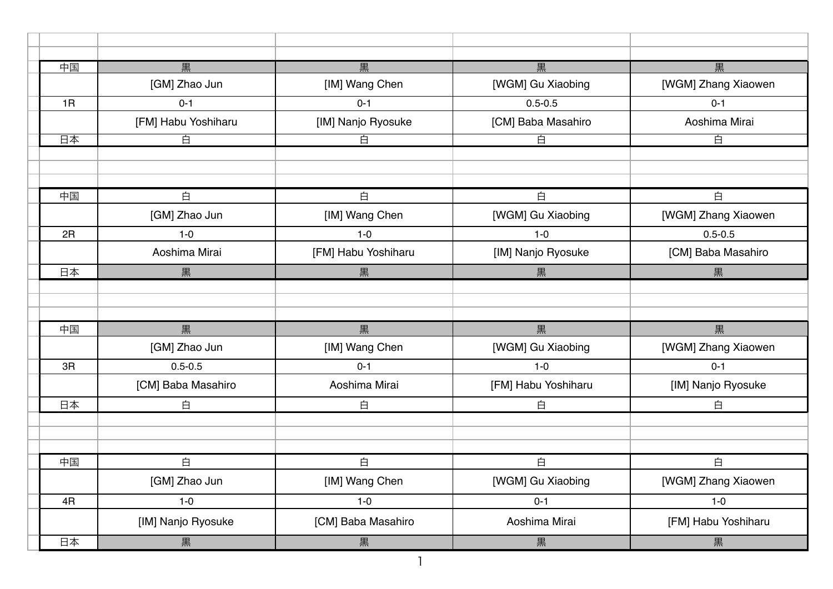| 中国 | 黒                   | 黒                   | 黒                   | 黒                   |
|----|---------------------|---------------------|---------------------|---------------------|
|    | [GM] Zhao Jun       | [IM] Wang Chen      | [WGM] Gu Xiaobing   | [WGM] Zhang Xiaowen |
| 1R | $0 - 1$             | $0 - 1$             | $0.5 - 0.5$         | $0 - 1$             |
|    | [FM] Habu Yoshiharu | [IM] Nanjo Ryosuke  | [CM] Baba Masahiro  | Aoshima Mirai       |
| 日本 | 白                   | 白                   | 白                   | 百                   |
|    |                     |                     |                     |                     |
|    |                     |                     |                     |                     |
| 中国 | 白                   | 白                   | 白                   | 白                   |
|    | [GM] Zhao Jun       | [IM] Wang Chen      | [WGM] Gu Xiaobing   | [WGM] Zhang Xiaowen |
| 2R | $1-0$               | $1-0$               | $1-0$               | $0.5 - 0.5$         |
|    | Aoshima Mirai       | [FM] Habu Yoshiharu | [IM] Nanjo Ryosuke  | [CM] Baba Masahiro  |
| 日本 | 黒                   | 黒                   | 黒                   | 黒                   |
|    |                     |                     |                     |                     |
|    |                     |                     |                     |                     |
| 中国 | 黒                   | 黒                   | 黒                   | 黒                   |
|    | [GM] Zhao Jun       | [IM] Wang Chen      | [WGM] Gu Xiaobing   | [WGM] Zhang Xiaowen |
| 3R | $0.5 - 0.5$         | $0 - 1$             | $1-0$               | $0 - 1$             |
|    | [CM] Baba Masahiro  | Aoshima Mirai       | [FM] Habu Yoshiharu | [IM] Nanjo Ryosuke  |
| 日本 | 白                   | 白                   | 白                   | 白                   |
|    |                     |                     |                     |                     |
|    |                     |                     |                     |                     |
| 中国 | 白                   | 白                   | 白                   | 白                   |
|    | [GM] Zhao Jun       | [IM] Wang Chen      | [WGM] Gu Xiaobing   | [WGM] Zhang Xiaowen |
| 4R | $1-0$               | $1-0$               | $0 - 1$             | $1-0$               |
|    | [IM] Nanjo Ryosuke  | [CM] Baba Masahiro  | Aoshima Mirai       | [FM] Habu Yoshiharu |
| 日本 | 黒                   | 黒                   | 黒                   | 黒                   |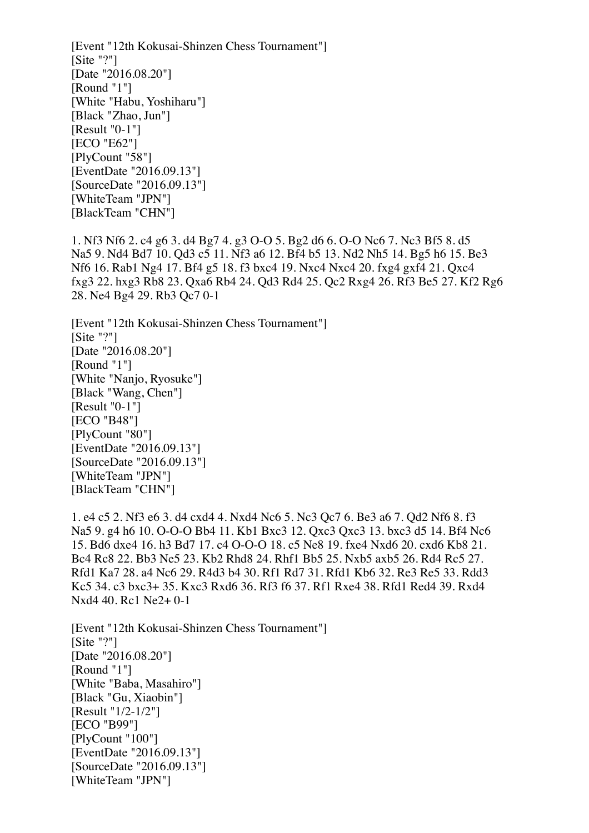[Event "12th Kokusai-Shinzen Chess Tournament"] [Site "?"] [Date "2016.08.20"] [Round "1"] [White "Habu, Yoshiharu"] [Black "Zhao, Jun"] [Result "0-1"] [ECO "E62"] [PlyCount "58"] [EventDate "2016.09.13"] [SourceDate "2016.09.13"] [WhiteTeam "JPN"] [BlackTeam "CHN"]

1. Nf3 Nf6 2. c4 g6 3. d4 Bg7 4. g3 O-O 5. Bg2 d6 6. O-O Nc6 7. Nc3 Bf5 8. d5 Na5 9. Nd4 Bd7 10. Qd3 c5 11. Nf3 a6 12. Bf4 b5 13. Nd2 Nh5 14. Bg5 h6 15. Be3 Nf6 16. Rab1 Ng4 17. Bf4 g5 18. f3 bxc4 19. Nxc4 Nxc4 20. fxg4 gxf4 21. Qxc4 fxg3 22. hxg3 Rb8 23. Qxa6 Rb4 24. Qd3 Rd4 25. Qc2 Rxg4 26. Rf3 Be5 27. Kf2 Rg6 28. Ne4 Bg4 29. Rb3 Qc7 0-1

[Event "12th Kokusai-Shinzen Chess Tournament"]  $[Site "?']$ [Date "2016.08.20"] [Round "1"] [White "Nanjo, Ryosuke"] [Black "Wang, Chen"]  $[Result "0-1"]$ [ECO "B48"] [PlyCount "80"] [EventDate "2016.09.13"] [SourceDate "2016.09.13"] [WhiteTeam "JPN"] [BlackTeam "CHN"]

1. e4 c5 2. Nf3 e6 3. d4 cxd4 4. Nxd4 Nc6 5. Nc3 Qc7 6. Be3 a6 7. Qd2 Nf6 8. f3 Na5 9. g4 h6 10. O-O-O Bb4 11. Kb1 Bxc3 12. Qxc3 Qxc3 13. bxc3 d5 14. Bf4 Nc6 15. Bd6 dxe4 16. h3 Bd7 17. c4 O-O-O 18. c5 Ne8 19. fxe4 Nxd6 20. cxd6 Kb8 21. Bc4 Rc8 22. Bb3 Ne5 23. Kb2 Rhd8 24. Rhf1 Bb5 25. Nxb5 axb5 26. Rd4 Rc5 27. Rfd1 Ka7 28. a4 Nc6 29. R4d3 b4 30. Rf1 Rd7 31. Rfd1 Kb6 32. Re3 Re5 33. Rdd3 Kc5 34. c3 bxc3+ 35. Kxc3 Rxd6 36. Rf3 f6 37. Rf1 Rxe4 38. Rfd1 Red4 39. Rxd4 Nxd4 40. Rc1 Ne2+ 0-1

[Event "12th Kokusai-Shinzen Chess Tournament"]  $[Site "?']$ [Date "2016.08.20"] [Round "1"] [White "Baba, Masahiro"] [Black "Gu, Xiaobin"] [Result "1/2-1/2"] [ECO "B99"] [PlyCount "100"] [EventDate "2016.09.13"] [SourceDate "2016.09.13"] [WhiteTeam "JPN"]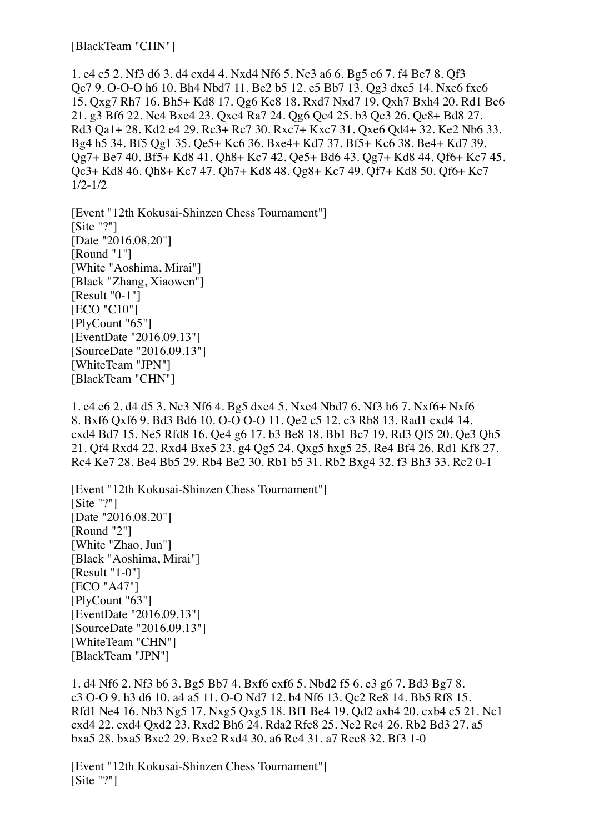[BlackTeam "CHN"]

1. e4 c5 2. Nf3 d6 3. d4 cxd4 4. Nxd4 Nf6 5. Nc3 a6 6. Bg5 e6 7. f4 Be7 8. Qf3 Qc7 9. O-O-O h6 10. Bh4 Nbd7 11. Be2 b5 12. e5 Bb7 13. Qg3 dxe5 14. Nxe6 fxe6 15. Qxg7 Rh7 16. Bh5+ Kd8 17. Qg6 Kc8 18. Rxd7 Nxd7 19. Qxh7 Bxh4 20. Rd1 Bc6 21. g3 Bf6 22. Ne4 Bxe4 23. Qxe4 Ra7 24. Qg6 Qc4 25. b3 Qc3 26. Qe8+ Bd8 27. Rd3 Qa1+ 28. Kd2 e4 29. Rc3+ Rc7 30. Rxc7+ Kxc7 31. Qxe6 Qd4+ 32. Ke2 Nb6 33. Bg4 h5 34. Bf5 Qg1 35. Qe5+ Kc6 36. Bxe4+ Kd7 37. Bf5+ Kc6 38. Be4+ Kd7 39. Qg7+ Be7 40. Bf5+ Kd8 41. Qh8+ Kc7 42. Qe5+ Bd6 43. Qg7+ Kd8 44. Qf6+ Kc7 45. Qc3+ Kd8 46. Qh8+ Kc7 47. Qh7+ Kd8 48. Qg8+ Kc7 49. Qf7+ Kd8 50. Qf6+ Kc7 1/2-1/2

[Event "12th Kokusai-Shinzen Chess Tournament"] [Site "?"] [Date "2016.08.20"] [Round "1"] [White "Aoshima, Mirai"] [Black "Zhang, Xiaowen"] [Result "0-1"] **[ECO "C10"]** [PlyCount "65"] [EventDate "2016.09.13"] [SourceDate "2016.09.13"] [WhiteTeam "JPN"] [BlackTeam "CHN"]

1. e4 e6 2. d4 d5 3. Nc3 Nf6 4. Bg5 dxe4 5. Nxe4 Nbd7 6. Nf3 h6 7. Nxf6+ Nxf6 8. Bxf6 Qxf6 9. Bd3 Bd6 10. O-O O-O 11. Qe2 c5 12. c3 Rb8 13. Rad1 cxd4 14. cxd4 Bd7 15. Ne5 Rfd8 16. Qe4 g6 17. b3 Be8 18. Bb1 Bc7 19. Rd3 Qf5 20. Qe3 Qh5 21. Qf4 Rxd4 22. Rxd4 Bxe5 23. g4 Qg5 24. Qxg5 hxg5 25. Re4 Bf4 26. Rd1 Kf8 27. Rc4 Ke7 28. Be4 Bb5 29. Rb4 Be2 30. Rb1 b5 31. Rb2 Bxg4 32. f3 Bh3 33. Rc2 0-1

[Event "12th Kokusai-Shinzen Chess Tournament"] [Site "?"] [Date "2016.08.20"] [Round "2"] [White "Zhao, Jun"] [Black "Aoshima, Mirai"] [Result "1-0"] [ECO "A47"] [PlyCount "63"] [EventDate "2016.09.13"] [SourceDate "2016.09.13"] [WhiteTeam "CHN"] [BlackTeam "JPN"]

1. d4 Nf6 2. Nf3 b6 3. Bg5 Bb7 4. Bxf6 exf6 5. Nbd2 f5 6. e3 g6 7. Bd3 Bg7 8. c3 O-O 9. h3 d6 10. a4 a5 11. O-O Nd7 12. b4 Nf6 13. Qc2 Re8 14. Bb5 Rf8 15. Rfd1 Ne4 16. Nb3 Ng5 17. Nxg5 Qxg5 18. Bf1 Be4 19. Qd2 axb4 20. cxb4 c5 21. Nc1 cxd4 22. exd4 Qxd2 23. Rxd2 Bh6 24. Rda2 Rfc8 25. Ne2 Rc4 26. Rb2 Bd3 27. a5 bxa5 28. bxa5 Bxe2 29. Bxe2 Rxd4 30. a6 Re4 31. a7 Ree8 32. Bf3 1-0

[Event "12th Kokusai-Shinzen Chess Tournament"]  $[Site "?']$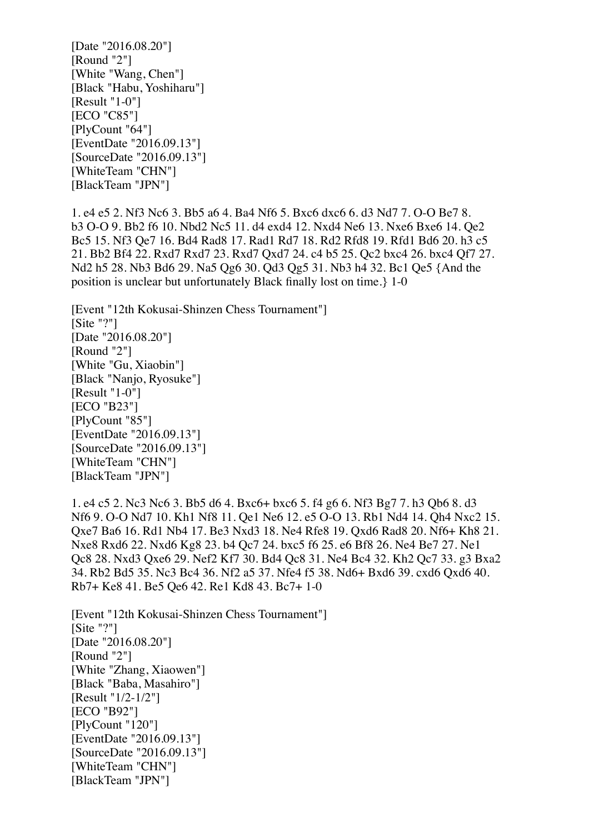[Date "2016.08.20"] [Round "2"] [White "Wang, Chen"] [Black "Habu, Yoshiharu"] [Result "1-0"] **[ECO "C85"]** [PlyCount "64"] [EventDate "2016.09.13"] [SourceDate "2016.09.13"] [WhiteTeam "CHN"] [BlackTeam "JPN"]

1. e4 e5 2. Nf3 Nc6 3. Bb5 a6 4. Ba4 Nf6 5. Bxc6 dxc6 6. d3 Nd7 7. O-O Be7 8. b3 O-O 9. Bb2 f6 10. Nbd2 Nc5 11. d4 exd4 12. Nxd4 Ne6 13. Nxe6 Bxe6 14. Qe2 Bc5 15. Nf3 Qe7 16. Bd4 Rad8 17. Rad1 Rd7 18. Rd2 Rfd8 19. Rfd1 Bd6 20. h3 c5 21. Bb2 Bf4 22. Rxd7 Rxd7 23. Rxd7 Qxd7 24. c4 b5 25. Qc2 bxc4 26. bxc4 Qf7 27. Nd2 h5 28. Nb3 Bd6 29. Na5 Qg6 30. Qd3 Qg5 31. Nb3 h4 32. Bc1 Qe5 {And the position is unclear but unfortunately Black finally lost on time.} 1-0

[Event "12th Kokusai-Shinzen Chess Tournament"] [Site "?"] [Date "2016.08.20"] [Round "2"] [White "Gu, Xiaobin"] [Black "Nanjo, Ryosuke"] [Result "1-0"] [ECO "B23"] [PlyCount "85"] [EventDate "2016.09.13"] [SourceDate "2016.09.13"] [WhiteTeam "CHN"] [BlackTeam "JPN"]

1. e4 c5 2. Nc3 Nc6 3. Bb5 d6 4. Bxc6+ bxc6 5. f4 g6 6. Nf3 Bg7 7. h3 Qb6 8. d3 Nf6 9. O-O Nd7 10. Kh1 Nf8 11. Qe1 Ne6 12. e5 O-O 13. Rb1 Nd4 14. Qh4 Nxc2 15. Qxe7 Ba6 16. Rd1 Nb4 17. Be3 Nxd3 18. Ne4 Rfe8 19. Qxd6 Rad8 20. Nf6+ Kh8 21. Nxe8 Rxd6 22. Nxd6 Kg8 23. b4 Qc7 24. bxc5 f6 25. e6 Bf8 26. Ne4 Be7 27. Ne1 Qc8 28. Nxd3 Qxe6 29. Nef2 Kf7 30. Bd4 Qc8 31. Ne4 Bc4 32. Kh2 Qc7 33. g3 Bxa2 34. Rb2 Bd5 35. Nc3 Bc4 36. Nf2 a5 37. Nfe4 f5 38. Nd6+ Bxd6 39. cxd6 Qxd6 40. Rb7+ Ke8 41. Be5 Qe6 42. Re1 Kd8 43. Bc7+ 1-0

[Event "12th Kokusai-Shinzen Chess Tournament"] [Site "?"] [Date "2016.08.20"] [Round "2"] [White "Zhang, Xiaowen"] [Black "Baba, Masahiro"] [Result "1/2-1/2"] [ECO "B92"] [PlyCount "120"] [EventDate "2016.09.13"] [SourceDate "2016.09.13"] [WhiteTeam "CHN"] [BlackTeam "JPN"]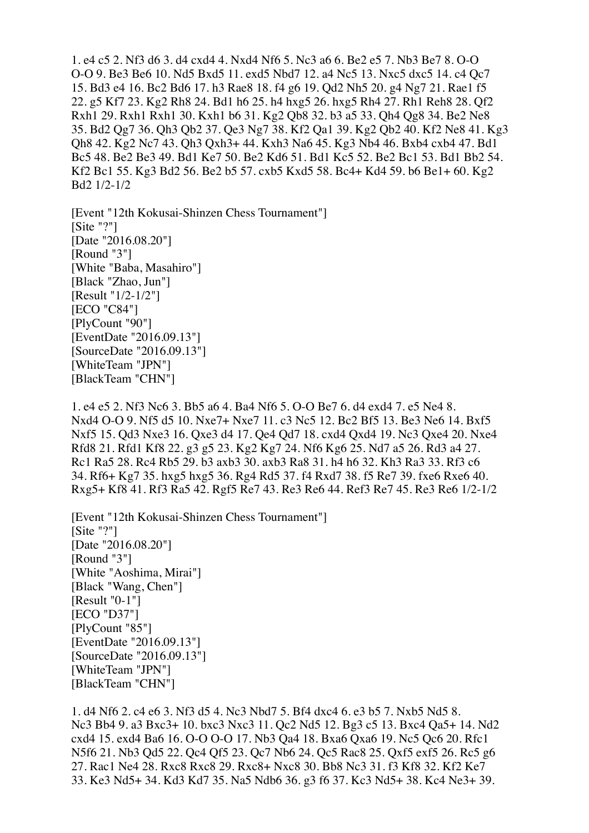1. e4 c5 2. Nf3 d6 3. d4 cxd4 4. Nxd4 Nf6 5. Nc3 a6 6. Be2 e5 7. Nb3 Be7 8. O-O O-O 9. Be3 Be6 10. Nd5 Bxd5 11. exd5 Nbd7 12. a4 Nc5 13. Nxc5 dxc5 14. c4 Qc7 15. Bd3 e4 16. Bc2 Bd6 17. h3 Rae8 18. f4 g6 19. Qd2 Nh5 20. g4 Ng7 21. Rae1 f5 22. g5 Kf7 23. Kg2 Rh8 24. Bd1 h6 25. h4 hxg5 26. hxg5 Rh4 27. Rh1 Reh8 28. Qf2 Rxh1 29. Rxh1 Rxh1 30. Kxh1 b6 31. Kg2 Qb8 32. b3 a5 33. Qh4 Qg8 34. Be2 Ne8 35. Bd2 Qg7 36. Qh3 Qb2 37. Qe3 Ng7 38. Kf2 Qa1 39. Kg2 Qb2 40. Kf2 Ne8 41. Kg3 Qh8 42. Kg2 Nc7 43. Qh3 Qxh3+ 44. Kxh3 Na6 45. Kg3 Nb4 46. Bxb4 cxb4 47. Bd1 Bc5 48. Be2 Be3 49. Bd1 Ke7 50. Be2 Kd6 51. Bd1 Kc5 52. Be2 Bc1 53. Bd1 Bb2 54. Kf2 Bc1 55. Kg3 Bd2 56. Be2 b5 57. cxb5 Kxd5 58. Bc4+ Kd4 59. b6 Be1+ 60. Kg2 Bd2 1/2-1/2

[Event "12th Kokusai-Shinzen Chess Tournament"] [Site "?"] [Date "2016.08.20"] [Round "3"] [White "Baba, Masahiro"] [Black "Zhao, Jun"] [Result "1/2-1/2"] **[ECO "C84"]** [PlyCount "90"] [EventDate "2016.09.13"] [SourceDate "2016.09.13"] [WhiteTeam "JPN"] [BlackTeam "CHN"]

1. e4 e5 2. Nf3 Nc6 3. Bb5 a6 4. Ba4 Nf6 5. O-O Be7 6. d4 exd4 7. e5 Ne4 8. Nxd4 O-O 9. Nf5 d5 10. Nxe7+ Nxe7 11. c3 Nc5 12. Bc2 Bf5 13. Be3 Ne6 14. Bxf5 Nxf5 15. Qd3 Nxe3 16. Qxe3 d4 17. Qe4 Qd7 18. cxd4 Qxd4 19. Nc3 Qxe4 20. Nxe4 Rfd8 21. Rfd1 Kf8 22. g3 g5 23. Kg2 Kg7 24. Nf6 Kg6 25. Nd7 a5 26. Rd3 a4 27. Rc1 Ra5 28. Rc4 Rb5 29. b3 axb3 30. axb3 Ra8 31. h4 h6 32. Kh3 Ra3 33. Rf3 c6 34. Rf6+ Kg7 35. hxg5 hxg5 36. Rg4 Rd5 37. f4 Rxd7 38. f5 Re7 39. fxe6 Rxe6 40. Rxg5+ Kf8 41. Rf3 Ra5 42. Rgf5 Re7 43. Re3 Re6 44. Ref3 Re7 45. Re3 Re6 1/2-1/2

[Event "12th Kokusai-Shinzen Chess Tournament"]  $[Site "?"]$ [Date "2016.08.20"] [Round "3"] [White "Aoshima, Mirai"] [Black "Wang, Chen"] [Result "0-1"] [ECO "D37"] [PlyCount "85"] [EventDate "2016.09.13"] [SourceDate "2016.09.13"] [WhiteTeam "JPN"] [BlackTeam "CHN"]

1. d4 Nf6 2. c4 e6 3. Nf3 d5 4. Nc3 Nbd7 5. Bf4 dxc4 6. e3 b5 7. Nxb5 Nd5 8. Nc3 Bb4 9. a3 Bxc3+ 10. bxc3 Nxc3 11. Qc2 Nd5 12. Bg3 c5 13. Bxc4 Qa5+ 14. Nd2 cxd4 15. exd4 Ba6 16. O-O O-O 17. Nb3 Qa4 18. Bxa6 Qxa6 19. Nc5 Qc6 20. Rfc1 N5f6 21. Nb3 Qd5 22. Qc4 Qf5 23. Qc7 Nb6 24. Qc5 Rac8 25. Qxf5 exf5 26. Rc5 g6 27. Rac1 Ne4 28. Rxc8 Rxc8 29. Rxc8+ Nxc8 30. Bb8 Nc3 31. f3 Kf8 32. Kf2 Ke7 33. Ke3 Nd5+ 34. Kd3 Kd7 35. Na5 Ndb6 36. g3 f6 37. Kc3 Nd5+ 38. Kc4 Ne3+ 39.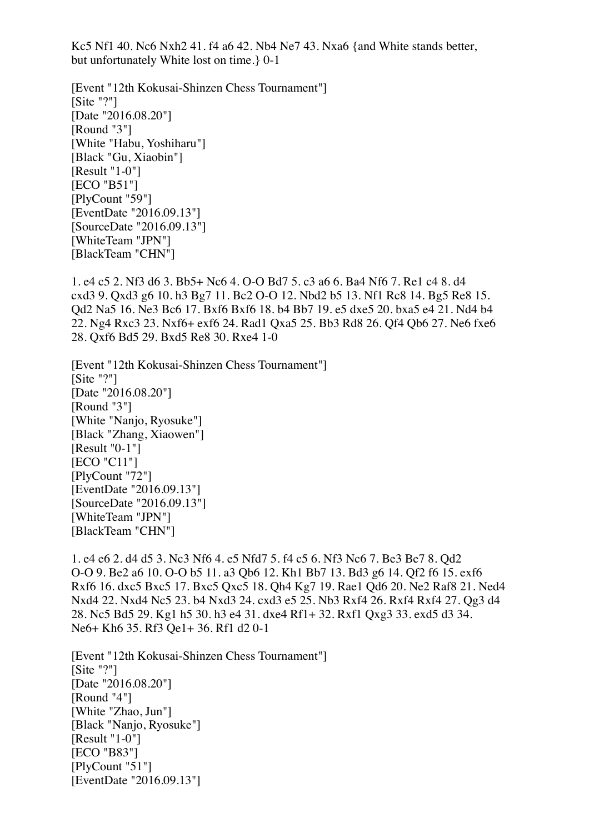Kc5 Nf1 40. Nc6 Nxh2 41. f4 a6 42. Nb4 Ne7 43. Nxa6 {and White stands better, but unfortunately White lost on time.} 0-1

[Event "12th Kokusai-Shinzen Chess Tournament"]  $[Site "?"]$ [Date "2016.08.20"] [Round "3"] [White "Habu, Yoshiharu"] [Black "Gu, Xiaobin"] [Result "1-0"] [ECO "B51"] [PlyCount "59"] [EventDate "2016.09.13"] [SourceDate "2016.09.13"] [WhiteTeam "JPN"] [BlackTeam "CHN"]

1. e4 c5 2. Nf3 d6 3. Bb5+ Nc6 4. O-O Bd7 5. c3 a6 6. Ba4 Nf6 7. Re1 c4 8. d4 cxd3 9. Qxd3 g6 10. h3 Bg7 11. Bc2 O-O 12. Nbd2 b5 13. Nf1 Rc8 14. Bg5 Re8 15. Qd2 Na5 16. Ne3 Bc6 17. Bxf6 Bxf6 18. b4 Bb7 19. e5 dxe5 20. bxa5 e4 21. Nd4 b4 22. Ng4 Rxc3 23. Nxf6+ exf6 24. Rad1 Qxa5 25. Bb3 Rd8 26. Qf4 Qb6 27. Ne6 fxe6 28. Qxf6 Bd5 29. Bxd5 Re8 30. Rxe4 1-0

[Event "12th Kokusai-Shinzen Chess Tournament"] [Site "?"] [Date "2016.08.20"] [Round "3"] [White "Nanjo, Ryosuke"] [Black "Zhang, Xiaowen"] [Result "0-1"] [ECO "C11"] [PlyCount "72"] [EventDate "2016.09.13"] [SourceDate "2016.09.13"] [WhiteTeam "JPN"] [BlackTeam "CHN"]

1. e4 e6 2. d4 d5 3. Nc3 Nf6 4. e5 Nfd7 5. f4 c5 6. Nf3 Nc6 7. Be3 Be7 8. Qd2 O-O 9. Be2 a6 10. O-O b5 11. a3 Qb6 12. Kh1 Bb7 13. Bd3 g6 14. Qf2 f6 15. exf6 Rxf6 16. dxc5 Bxc5 17. Bxc5 Qxc5 18. Qh4 Kg7 19. Rae1 Qd6 20. Ne2 Raf8 21. Ned4 Nxd4 22. Nxd4 Nc5 23. b4 Nxd3 24. cxd3 e5 25. Nb3 Rxf4 26. Rxf4 Rxf4 27. Qg3 d4 28. Nc5 Bd5 29. Kg1 h5 30. h3 e4 31. dxe4 Rf1+ 32. Rxf1 Qxg3 33. exd5 d3 34. Ne6+ Kh6 35. Rf3 Qe1+ 36. Rf1 d2 0-1

[Event "12th Kokusai-Shinzen Chess Tournament"] [Site "?"] [Date "2016.08.20"] [Round "4"] [White "Zhao, Jun"] [Black "Nanjo, Ryosuke"] [Result "1-0"] [ECO "B83"] [PlyCount "51"] [EventDate "2016.09.13"]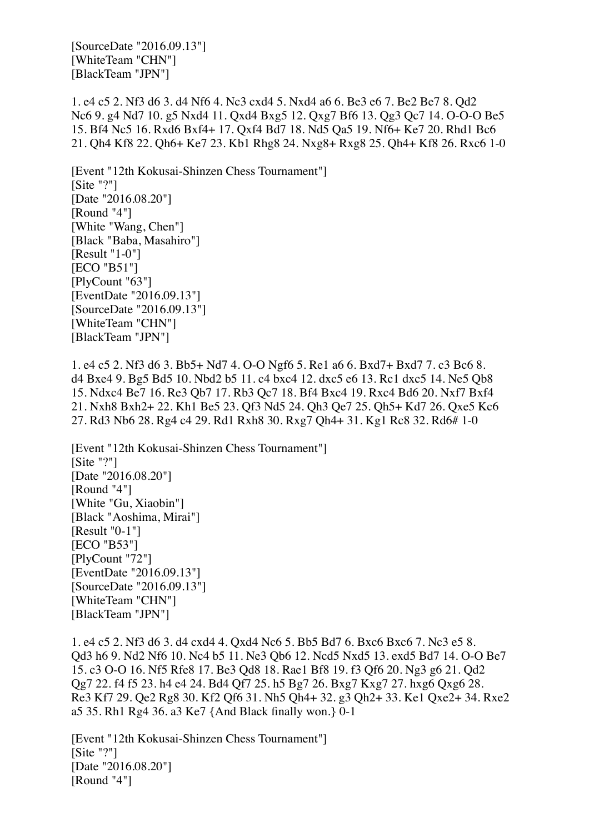[SourceDate "2016.09.13"] [WhiteTeam "CHN"] [BlackTeam "JPN"]

1. e4 c5 2. Nf3 d6 3. d4 Nf6 4. Nc3 cxd4 5. Nxd4 a6 6. Be3 e6 7. Be2 Be7 8. Qd2 Nc6 9. g4 Nd7 10. g5 Nxd4 11. Qxd4 Bxg5 12. Qxg7 Bf6 13. Qg3 Qc7 14. O-O-O Be5 15. Bf4 Nc5 16. Rxd6 Bxf4+ 17. Qxf4 Bd7 18. Nd5 Qa5 19. Nf6+ Ke7 20. Rhd1 Bc6 21. Qh4 Kf8 22. Qh6+ Ke7 23. Kb1 Rhg8 24. Nxg8+ Rxg8 25. Qh4+ Kf8 26. Rxc6 1-0

[Event "12th Kokusai-Shinzen Chess Tournament"] [Site "?"] [Date "2016.08.20"] [Round "4"] [White "Wang, Chen"] [Black "Baba, Masahiro"] [Result "1-0"] [ECO "B51"] [PlyCount "63"] [EventDate "2016.09.13"] [SourceDate "2016.09.13"] [WhiteTeam "CHN"] [BlackTeam "JPN"]

1. e4 c5 2. Nf3 d6 3. Bb5+ Nd7 4. O-O Ngf6 5. Re1 a6 6. Bxd7+ Bxd7 7. c3 Bc6 8. d4 Bxe4 9. Bg5 Bd5 10. Nbd2 b5 11. c4 bxc4 12. dxc5 e6 13. Rc1 dxc5 14. Ne5 Qb8 15. Ndxc4 Be7 16. Re3 Qb7 17. Rb3 Qc7 18. Bf4 Bxc4 19. Rxc4 Bd6 20. Nxf7 Bxf4 21. Nxh8 Bxh2+ 22. Kh1 Be5 23. Qf3 Nd5 24. Qh3 Qe7 25. Qh5+ Kd7 26. Qxe5 Kc6 27. Rd3 Nb6 28. Rg4 c4 29. Rd1 Rxh8 30. Rxg7 Qh4+ 31. Kg1 Rc8 32. Rd6# 1-0

[Event "12th Kokusai-Shinzen Chess Tournament"] [Site "?"] [Date "2016.08.20"] [Round "4"] [White "Gu, Xiaobin"] [Black "Aoshima, Mirai"] [Result "0-1"] [ECO "B53"] [PlyCount "72"] [EventDate "2016.09.13"] [SourceDate "2016.09.13"] [WhiteTeam "CHN"] [BlackTeam "JPN"]

1. e4 c5 2. Nf3 d6 3. d4 cxd4 4. Qxd4 Nc6 5. Bb5 Bd7 6. Bxc6 Bxc6 7. Nc3 e5 8. Qd3 h6 9. Nd2 Nf6 10. Nc4 b5 11. Ne3 Qb6 12. Ncd5 Nxd5 13. exd5 Bd7 14. O-O Be7 15. c3 O-O 16. Nf5 Rfe8 17. Be3 Qd8 18. Rae1 Bf8 19. f3 Qf6 20. Ng3 g6 21. Qd2 Qg7 22. f4 f5 23. h4 e4 24. Bd4 Qf7 25. h5 Bg7 26. Bxg7 Kxg7 27. hxg6 Qxg6 28. Re3 Kf7 29. Qe2 Rg8 30. Kf2 Qf6 31. Nh5 Qh4+ 32. g3 Qh2+ 33. Ke1 Qxe2+ 34. Rxe2 a5 35. Rh1 Rg4 36. a3 Ke7 {And Black finally won.} 0-1

[Event "12th Kokusai-Shinzen Chess Tournament"]  $[Site "?"]$ [Date "2016.08.20"] [Round "4"]